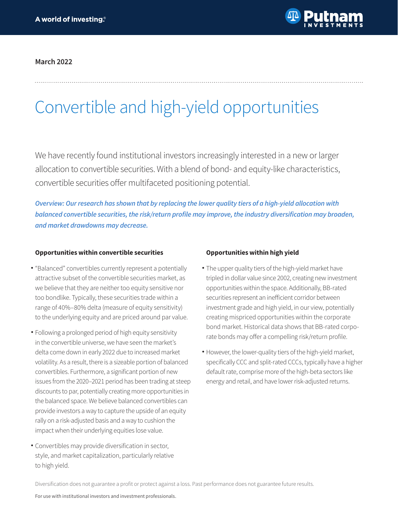

## **March 2022**

# Convertible and high-yield opportunities

We have recently found institutional investors increasingly interested in a new or larger allocation to convertible securities. With a blend of bond- and equity-like characteristics, convertible securities offer multifaceted positioning potential.

*Overview: Our research has shown that by replacing the lower quality tiers of a high-yield allocation with*  **balanced convertible securities, the risk/return profile may improve, the industry diversification may broaden, and market drawdowns may decrease.**

#### **Opportunities within convertible securities**

- "Balanced" convertibles currently represent a potentially attractive subset of the convertible securities market, as we believe that they are neither too equity sensitive nor too bondlike. Typically, these securities trade within a range of 40%–80% delta (measure of equity sensitivity) to the underlying equity and are priced around par value.
- Following a prolonged period of high equity sensitivity in the convertible universe, we have seen the market's delta come down in early 2022 due to increased market volatility. As a result, there is a sizeable portion of balanced convertibles. Furthermore, a significant portion of new issues from the 2020–2021 period has been trading at steep discounts to par, potentially creating more opportunities in the balanced space. We believe balanced convertibles can provide investors a way to capture the upside of an equity rally on a risk-adjusted basis and a way to cushion the impact when their underlying equities lose value.
- Convertibles may provide diversification in sector, style, and market capitalization, particularly relative to high yield.

### **Opportunities within high yield**

- The upper quality tiers of the high-yield market have tripled in dollar value since 2002, creating new investment opportunities within the space. Additionally, BB-rated securities represent an inefficient corridor between investment grade and high yield, in our view, potentially creating mispriced opportunities within the corporate bond market. Historical data shows that BB-rated corporate bonds may offer a compelling risk/return profile.
- However, the lower-quality tiers of the high-yield market, specifically CCC and split-rated CCCs, typically have a higher default rate, comprise more of the high-beta sectors like energy and retail, and have lower risk-adjusted returns.

Diversification does not guarantee a profit or protect against a loss. Past performance does not guarantee future results.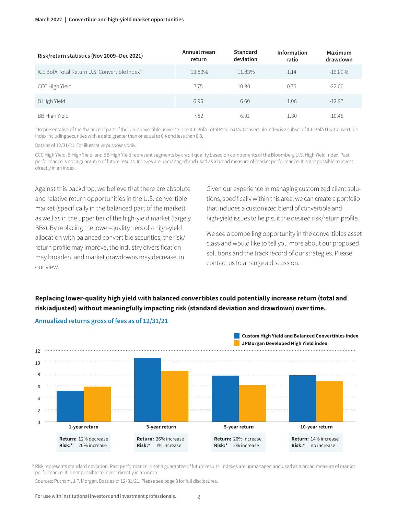#### **March 2022 | Convertible and high-yield market opportunities**

| Risk/return statistics (Nov 2009-Dec 2021)    | Annual mean<br>return | Standard<br>deviation | Information<br>ratio | Maximum<br>drawdown |
|-----------------------------------------------|-----------------------|-----------------------|----------------------|---------------------|
| ICF BofA Total Return U.S. Convertible Index* | 13.50%                | 11.83%                | 1.14                 | $-16.89\%$          |
| CCC High Yield                                | 7.75                  | 10.30                 | 0.75                 | $-22.00$            |
| B High Yield                                  | 6.96                  | 6.60                  | 1.06                 | $-12.97$            |
| BB High Yield                                 | 7.82                  | 6.01                  | 1.30                 | $-10.48$            |

\* Representative of the "balanced" part of the U.S. convertible universe. The ICE BofA Total Return U.S. Convertible Index is a subset of ICE BofA U.S. Convertible Index including securities with a delta greater than or equal to 0.4 and less than 0.8.

Data as of 12/31/21. For illustrative purposes only.

CCC High Yield, B High Yield, and BB High Yield represent segments by credit quality based on components of the Bloomberg U.S. High Yield Index. Past performance is not a guarantee of future results. Indexes are unmanaged and used as a broad measure of market performance. It is not possible to invest directly in an index.

Against this backdrop, we believe that there are absolute and relative return opportunities in the U.S. convertible market (specifically in the balanced part of the market) as well as in the upper tier of the high-yield market (largely BBs). By replacing the lower-quality tiers of a high-yield allocation with balanced convertible securities, the risk/ return profile may improve, the industry diversification may broaden, and market drawdowns may decrease, in our view.

Given our experience in managing customized client solutions, specifically within this area, we can create a portfolio that includes a customized blend of convertible and high-yield issues to help suit the desired risk/return profile.

We see a compelling opportunity in the convertibles asset class and would like to tell you more about our proposed solutions and the track record of our strategies. Please contact us to arrange a discussion.

# **Replacing lower-quality high yield with balanced convertibles could potentially increase return (total and risk/adjusted) without meaningfully impacting risk (standard deviation and drawdown) over time.**



**Annualized returns gross of fees as of 12/31/21**

\* Risk represents standard deviation. Past performance is not a guarantee of future results. Indexes are unmanaged and used as a broad measure of market performance. It is not possible to invest directly in an index.

Sources: Putnam, J.P. Morgan. Data as of 12/31/21. Please see page 3 for full disclosures.

For use with institutional investors and investment professionals.